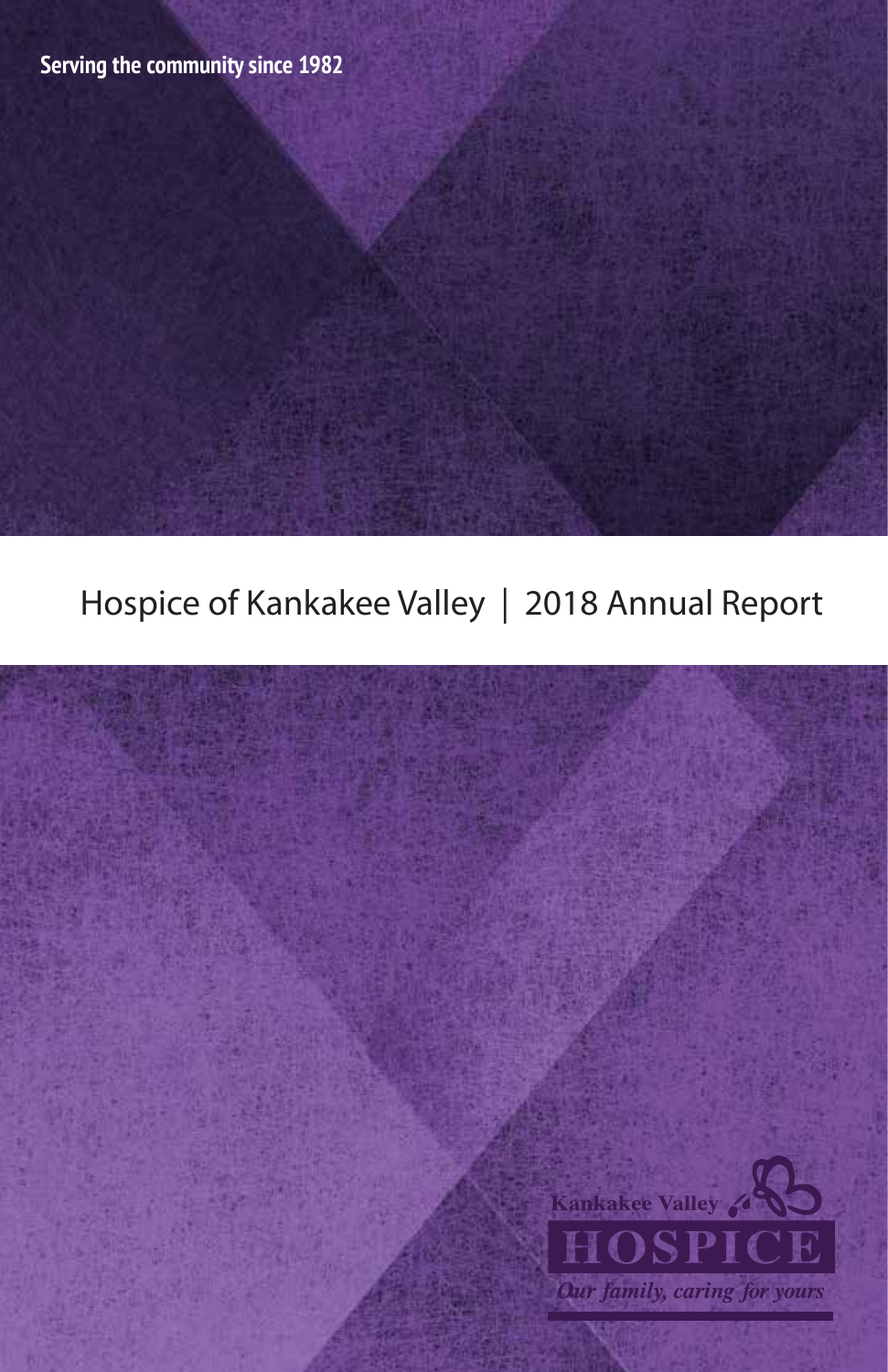Hospice of Kankakee Valley | 2018 Annual Report

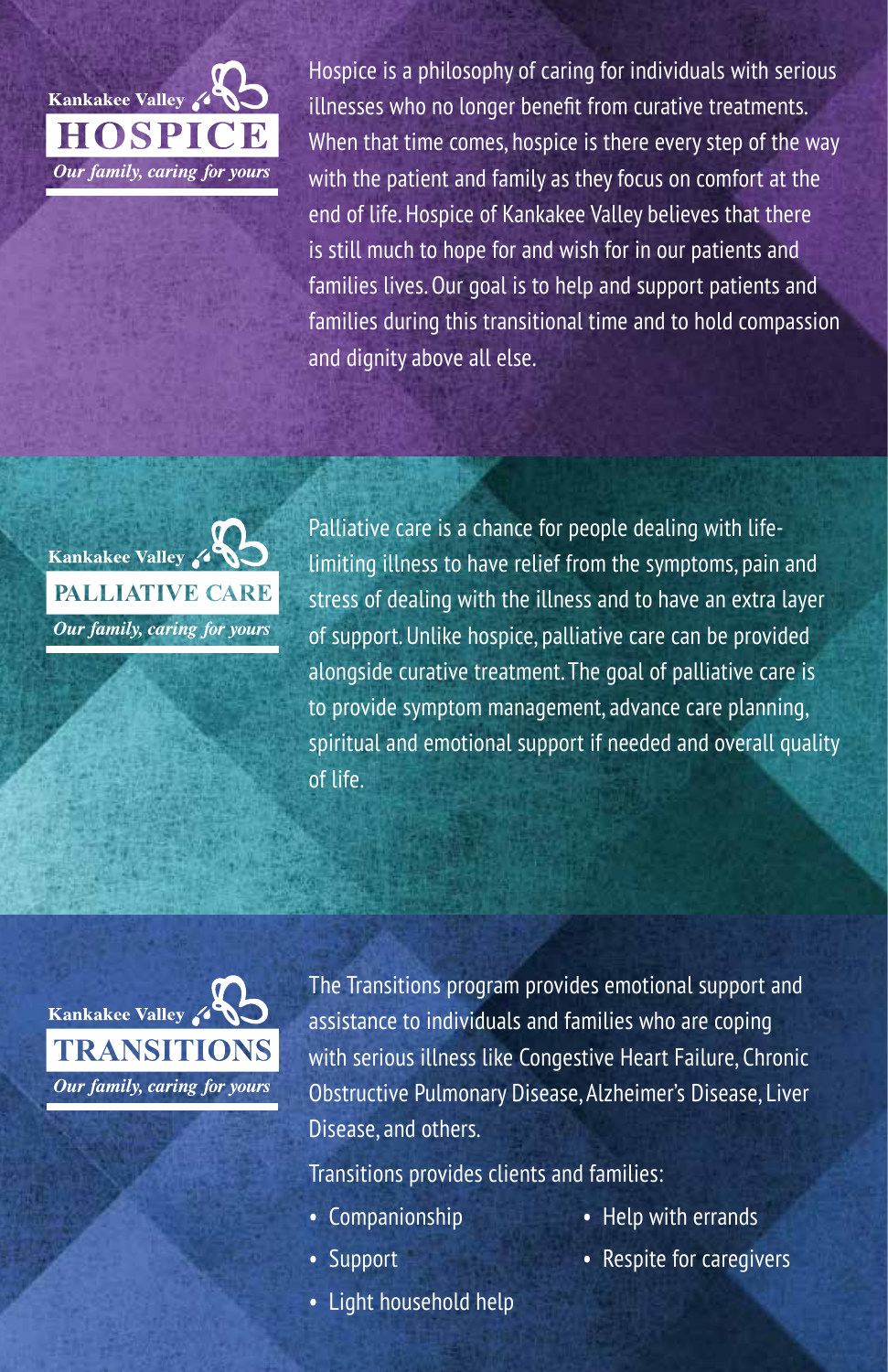

Hospice is a philosophy of caring for individuals with serious illnesses who no longer benefit from curative treatments. When that time comes, hospice is there every step of the way with the patient and family as they focus on comfort at the end of life. Hospice of Kankakee Valley believes that there is still much to hope for and wish for in our patients and families lives. Our goal is to help and support patients and families during this transitional time and to hold compassion and dignity above all else.



Palliative care is a chance for people dealing with lifelimiting illness to have relief from the symptoms, pain and stress of dealing with the illness and to have an extra layer of support. Unlike hospice, palliative care can be provided alongside curative treatment. The goal of palliative care is to provide symptom management, advance care planning, spiritual and emotional support if needed and overall quality of life.



The Transitions program provides emotional support and assistance to individuals and families who are coping with serious illness like Congestive Heart Failure, Chronic Obstructive Pulmonary Disease, Alzheimer's Disease, Liver Disease, and others.

Transitions provides clients and families:

- Companionship
- Support
- Light household help
- Help with errands
- Respite for caregivers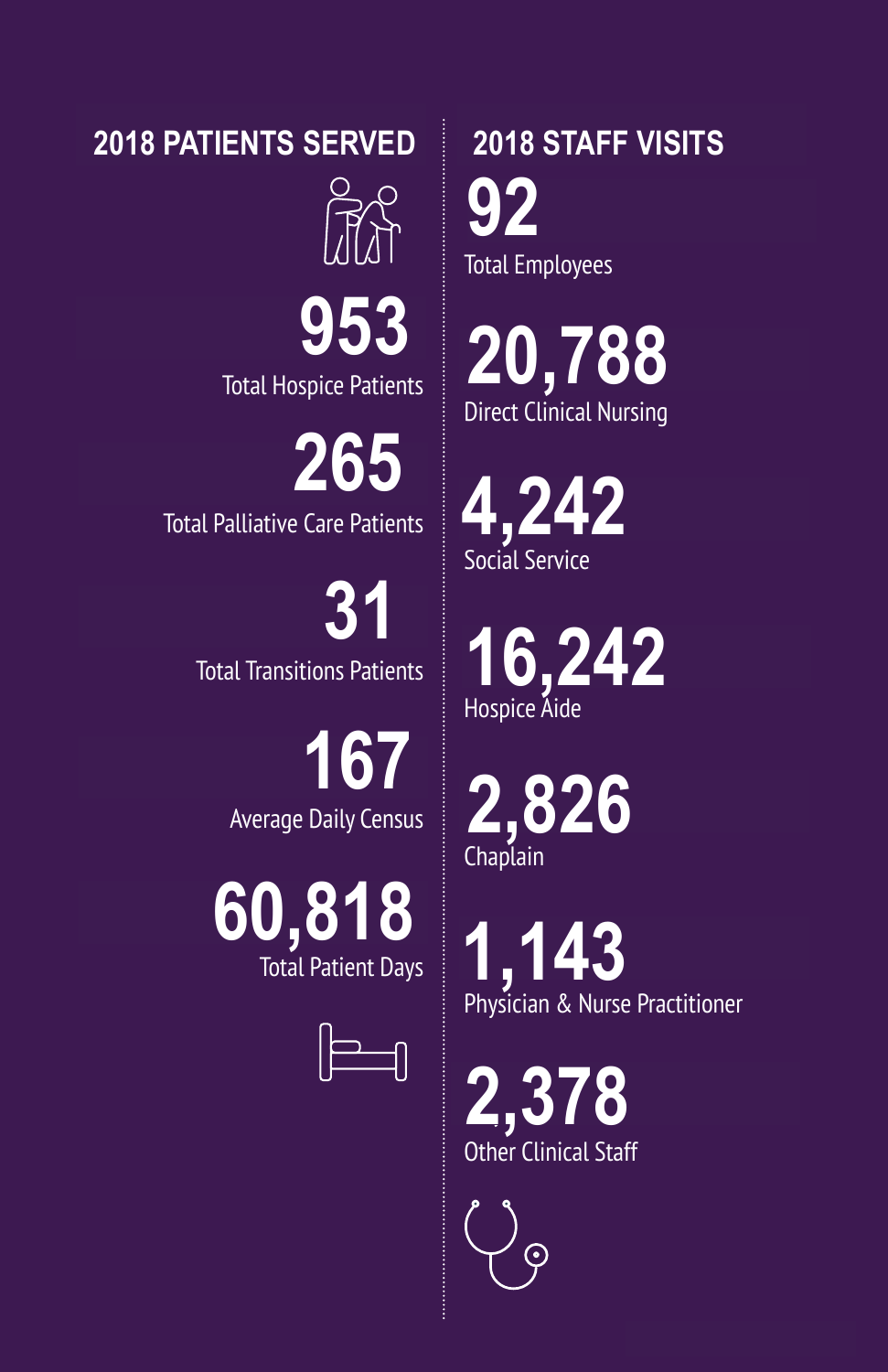**2017 PATIENTS SERVED 2018 PATIENTS SERVED 2018 STAFF VISITS**

892 **953**

Total Hospice Patients

253 **265** Total Palliative Care Patients

> 37 **31** Total Transitions Patients

> > 148 **167** Average Daily Census

53,962 **60,818** Total Patient Days



**2018 STAFF VISITS** 92 Total Employees **92**

18,220 **20,788** Direct Clinical Nursing

2,874 **4,242** Social Service

15,214 **16,242** Hospice Aide

2,483 **2,826** Chaplain

743 **1,143**Physician & Nurse Practitioner

2,087 **2,378** Other Clinical Staff

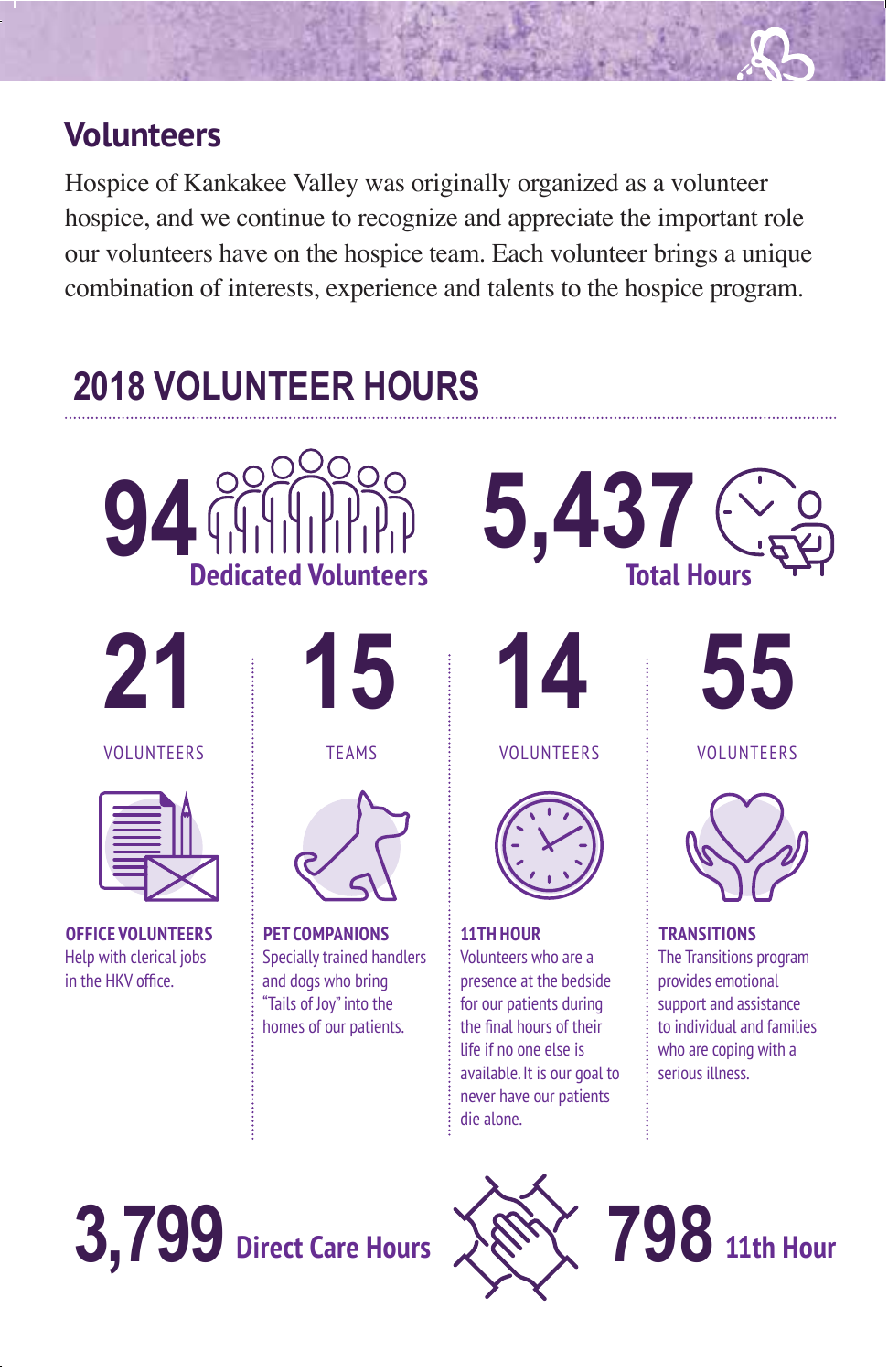#### **Volunteers**

Hospice of Kankakee Valley was originally organized as a volunteer hospice, and we continue to recognize and appreciate the important role our volunteers have on the hospice team. Each volunteer brings a unique combination of interests, experience and talents to the hospice program.

# **2017 VOLUNTEER HOURS 2018 VOLUNTEER HOURS**





VOLUNTEERS



**OFFICE VOLUNTEERS** Help with clerical jobs in the HKV office.



TEAMS



**PET COMPANIONS** Specially trained handlers and dogs who bring "Tails of Joy" into the homes of our patients.



**12**

VOLUNTEERS



**11TH HOUR** Volunteers who are a presence at the bedside for our patients during the final hours of their life if no one else is available. It is our goal to never have our patients die alone.



VOLUNTEERS



**TRANSITIONS** The Transitions program provides emotional support and assistance to individual and families who are coping with a serious illness.



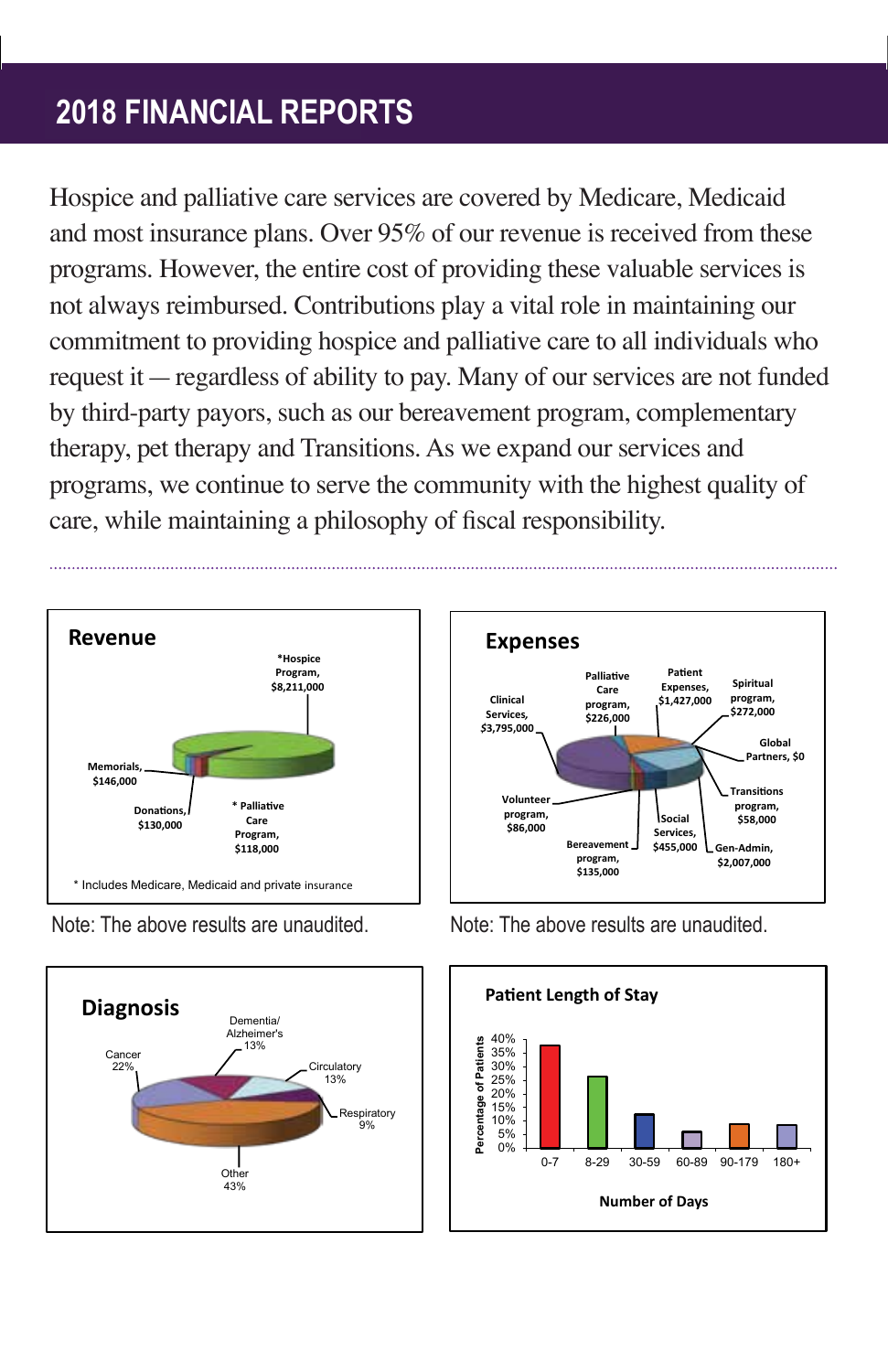## **2017 Financial Report 2018 FINANCIAL REPORTS**

Hospice and palliative care services are covered by Medicare, Medicaid and most insurance plans. Over  $95\%$  of our revenue is received from these programs. However, the entire cost of providing these valuable services is not always reimbursed. Contributions play a vital role in maintaining our commitment to providing hospice and palliative care to all individuals who request it  $-$  regardless of ability to pay. Many of our services are not funded by third-party payors, such as our bereavement program, complementary therapy, pet therapy and Transitions. As we expand our services and programs, we continue to serve the community with the highest quality of care, while maintaining a philosophy of fiscal responsibility.



Note: The above results are unaudited.





Note. The above results Note: The above results are unaudited. Note: The above results are unaudited.

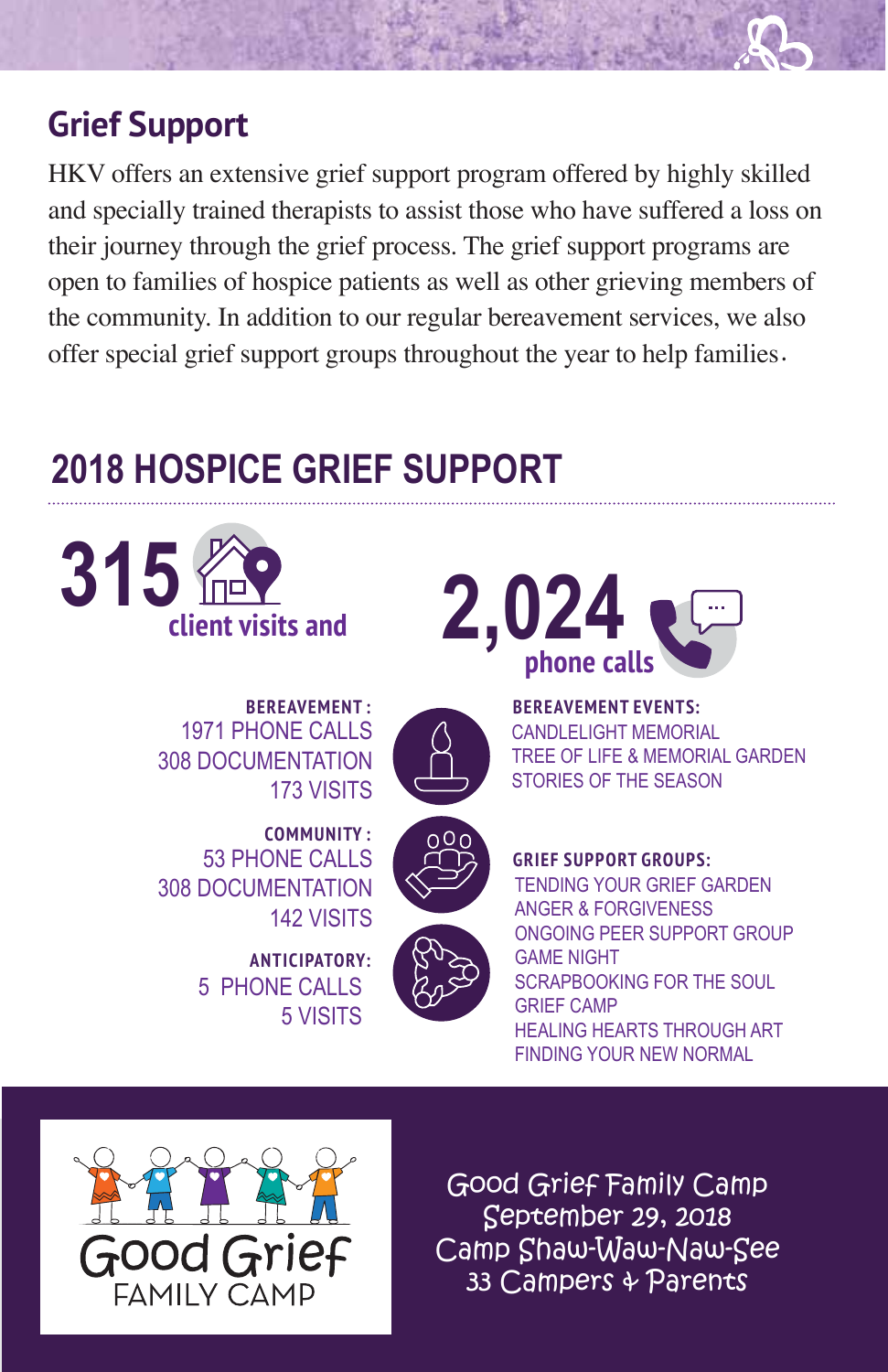## **Grief Support**

HKV offers an extensive grief support program offered by highly skilled and specially trained therapists to assist those who have suffered a loss on their journey through the grief process. The grief support programs are open to families of hospice patients as well as other grieving members of the community. In addition to our regular bereavement services, we also offer special grief support groups throughout the year to help families.

# **2017 HOSPICE GRIEF SUPPORT 2018 HOSPICE GRIEF SUPPORT**





**BEREAVEMENT EVENTS:**  – CANDLELIGHT MEMORIAL CANDLELIGHT MEMORIAL – TREE OF LIFE & MEMORIAL GARDEN TREE OF LIFE & MEMORIAL GARDEN STORIES OF THE SEASON

**BEREAVEMENT :** PHONE CALLS 1971 PHONE CALLS DOCUMENTATION 308 DOCUMENTATION VISITS 173 VISITS



**COMMUNITY :** PHONE CALLS 53 PHONE CALLS DOCUMENTATION 308 DOCUMENTATION VISITS 142 VISITS

> **ANTICIPATORY: 4** PHONE CALLS 5 PHONE CALLS **7** VISITS 5 VISITS

**GRIEF SUPPORT GROUPS:**  TENDING YOUR GRIEF GARDEN ANGER & FORGIVENESS GAME NIGHT SCRAPBOOKING FOR THE SOUL **GRIEF CAMP** ONGOING PEER SUPPORT GROUP HEALING HEARTS THROUGH ART FINDING YOUR NEW NORMAL



Good Grief Family Camp September 29, 2018 Camp Shaw-Waw-Naw-See 33 Campers & Parents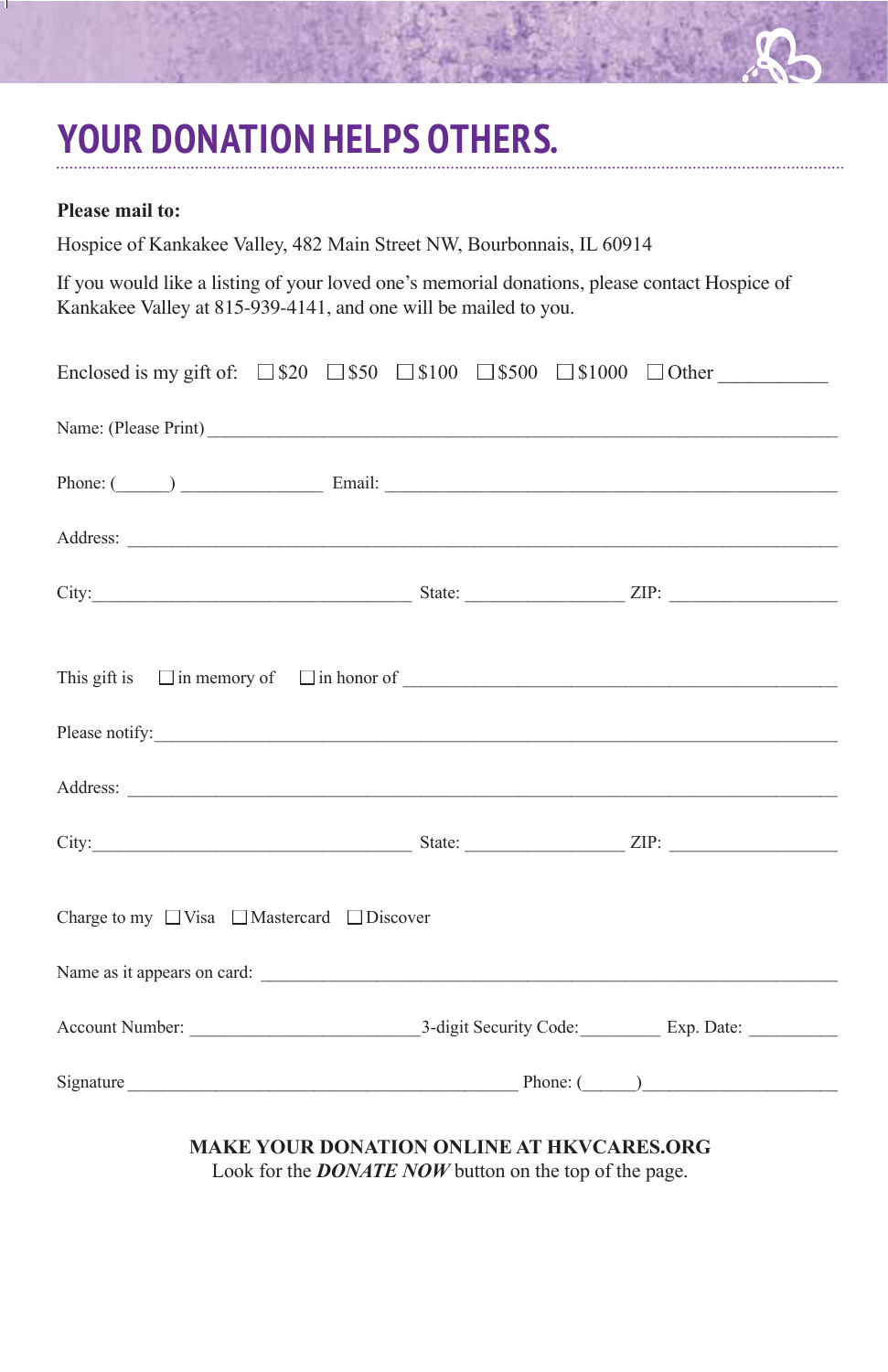# **YOUR DONATION HELPS OTHERS.**

#### **Please mail to:**

Hospice of Kankakee Valley, 482 Main Street NW, Bourbonnais, IL 60914

If you would like a listing of your loved one's memorial donations, please contact Hospice of Kankakee Valley at 815-939-4141, and one will be mailed to you.

| Enclosed is my gift of: $\Box$ \$20 $\Box$ \$50 $\Box$ \$100 $\Box$ \$1000 $\Box$ Other                                                                                                                                        |  |  |
|--------------------------------------------------------------------------------------------------------------------------------------------------------------------------------------------------------------------------------|--|--|
|                                                                                                                                                                                                                                |  |  |
| Phone: (Chambridge Communication Communication Communication Communication Communication Communication Communication Communication Communication Communication Communication Communication Communication Communication Communi |  |  |
|                                                                                                                                                                                                                                |  |  |
|                                                                                                                                                                                                                                |  |  |
|                                                                                                                                                                                                                                |  |  |
|                                                                                                                                                                                                                                |  |  |
|                                                                                                                                                                                                                                |  |  |
|                                                                                                                                                                                                                                |  |  |
| Charge to my $\Box$ Visa $\Box$ Mastercard $\Box$ Discover                                                                                                                                                                     |  |  |
|                                                                                                                                                                                                                                |  |  |
|                                                                                                                                                                                                                                |  |  |
| Signature Phone: (Phone: (Phone: (Phone: 1)                                                                                                                                                                                    |  |  |

**MAKE YOUR DONATION ONLINE AT HKVCARES.ORG**

Look for the *DONATE NOW* button on the top of the page.